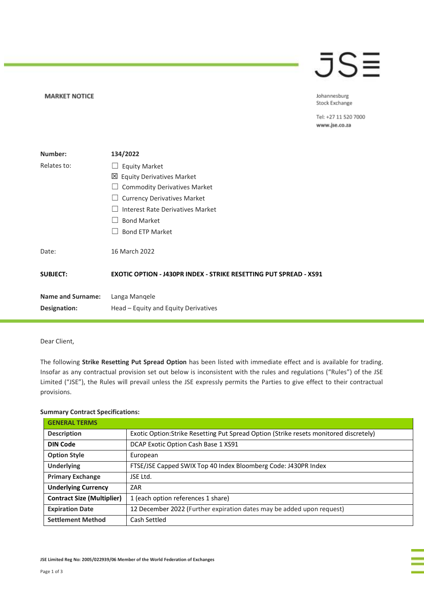## JSE

Johannesburg Stock Exchange

Tel: +27 11 520 7000 www.jse.co.za

| Number:                  | 134/2022                                                                 |
|--------------------------|--------------------------------------------------------------------------|
| Relates to:              | <b>Equity Market</b>                                                     |
|                          | 凶 Equity Derivatives Market                                              |
|                          | <b>Commodity Derivatives Market</b>                                      |
|                          | <b>Currency Derivatives Market</b><br>$\Box$                             |
|                          | Interest Rate Derivatives Market                                         |
|                          | <b>Bond Market</b>                                                       |
|                          | <b>Bond ETP Market</b>                                                   |
| Date:                    | 16 March 2022                                                            |
| <b>SUBJECT:</b>          | <b>EXOTIC OPTION - J430PR INDEX - STRIKE RESETTING PUT SPREAD - XS91</b> |
| <b>Name and Surname:</b> | Langa Manqele                                                            |
| Designation:             | Head – Equity and Equity Derivatives                                     |

Dear Client,

**MARKET NOTICE** 

The following **Strike Resetting Put Spread Option** has been listed with immediate effect and is available for trading. Insofar as any contractual provision set out below is inconsistent with the rules and regulations ("Rules") of the JSE Limited ("JSE"), the Rules will prevail unless the JSE expressly permits the Parties to give effect to their contractual provisions.

## **Summary Contract Specifications:**

| <b>GENERAL TERMS</b>              |                                                                                        |
|-----------------------------------|----------------------------------------------------------------------------------------|
| <b>Description</b>                | Exotic Option: Strike Resetting Put Spread Option (Strike resets monitored discretely) |
| <b>DIN Code</b>                   | DCAP Exotic Option Cash Base 1 XS91                                                    |
| <b>Option Style</b>               | European                                                                               |
| <b>Underlying</b>                 | FTSE/JSE Capped SWIX Top 40 Index Bloomberg Code: J430PR Index                         |
| <b>Primary Exchange</b>           | JSE Ltd.                                                                               |
| <b>Underlying Currency</b>        | ZAR                                                                                    |
| <b>Contract Size (Multiplier)</b> | 1 (each option references 1 share)                                                     |
| <b>Expiration Date</b>            | 12 December 2022 (Further expiration dates may be added upon request)                  |
| <b>Settlement Method</b>          | Cash Settled                                                                           |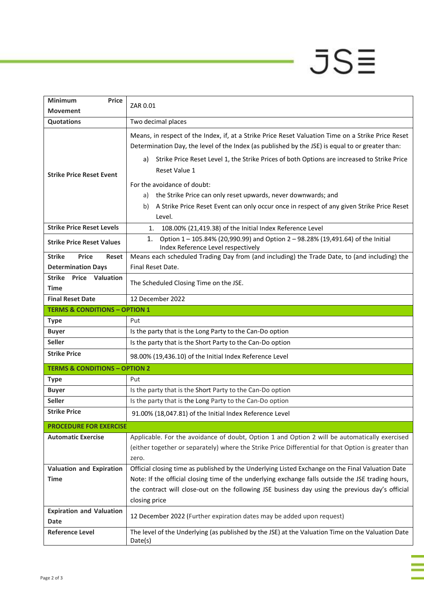## $JSE$

ī

| <b>Minimum</b><br><b>Price</b>                | ZAR 0.01                                                                                                                                                |
|-----------------------------------------------|---------------------------------------------------------------------------------------------------------------------------------------------------------|
| <b>Movement</b>                               |                                                                                                                                                         |
| Quotations                                    | Two decimal places                                                                                                                                      |
| <b>Strike Price Reset Event</b>               | Means, in respect of the Index, if, at a Strike Price Reset Valuation Time on a Strike Price Reset                                                      |
|                                               | Determination Day, the level of the Index (as published by the JSE) is equal to or greater than:                                                        |
|                                               | Strike Price Reset Level 1, the Strike Prices of both Options are increased to Strike Price<br>a)                                                       |
|                                               | Reset Value 1                                                                                                                                           |
|                                               | For the avoidance of doubt:                                                                                                                             |
|                                               | the Strike Price can only reset upwards, never downwards; and<br>a)                                                                                     |
|                                               | A Strike Price Reset Event can only occur once in respect of any given Strike Price Reset<br>b)                                                         |
|                                               | Level.                                                                                                                                                  |
| <b>Strike Price Reset Levels</b>              |                                                                                                                                                         |
|                                               | 108.00% (21,419.38) of the Initial Index Reference Level<br>1.<br>Option 1 - 105.84% (20,990.99) and Option 2 - 98.28% (19,491.64) of the Initial<br>1. |
| <b>Strike Price Reset Values</b>              | Index Reference Level respectively                                                                                                                      |
| <b>Strike</b><br><b>Price</b><br><b>Reset</b> | Means each scheduled Trading Day from (and including) the Trade Date, to (and including) the                                                            |
| <b>Determination Days</b>                     | Final Reset Date.                                                                                                                                       |
| <b>Strike</b><br><b>Price Valuation</b>       |                                                                                                                                                         |
| Time                                          | The Scheduled Closing Time on the JSE.                                                                                                                  |
| <b>Final Reset Date</b>                       | 12 December 2022                                                                                                                                        |
| <b>TERMS &amp; CONDITIONS - OPTION 1</b>      |                                                                                                                                                         |
| <b>Type</b>                                   | Put                                                                                                                                                     |
| <b>Buyer</b>                                  | Is the party that is the Long Party to the Can-Do option                                                                                                |
| <b>Seller</b>                                 | Is the party that is the Short Party to the Can-Do option                                                                                               |
| <b>Strike Price</b>                           | 98.00% (19,436.10) of the Initial Index Reference Level                                                                                                 |
| <b>TERMS &amp; CONDITIONS - OPTION 2</b>      |                                                                                                                                                         |
| <b>Type</b>                                   | Put                                                                                                                                                     |
| <b>Buyer</b>                                  | Is the party that is the Short Party to the Can-Do option                                                                                               |
| <b>Seller</b>                                 | Is the party that is the Long Party to the Can-Do option                                                                                                |
| <b>Strike Price</b>                           | 91.00% (18,047.81) of the Initial Index Reference Level                                                                                                 |
| <b>PROCEDURE FOR EXERCISE</b>                 |                                                                                                                                                         |
| <b>Automatic Exercise</b>                     | Applicable. For the avoidance of doubt, Option 1 and Option 2 will be automatically exercised                                                           |
|                                               | (either together or separately) where the Strike Price Differential for that Option is greater than                                                     |
|                                               | zero.                                                                                                                                                   |
| <b>Valuation and Expiration</b>               | Official closing time as published by the Underlying Listed Exchange on the Final Valuation Date                                                        |
| <b>Time</b>                                   | Note: If the official closing time of the underlying exchange falls outside the JSE trading hours,                                                      |
|                                               | the contract will close-out on the following JSE business day using the previous day's official                                                         |
|                                               | closing price                                                                                                                                           |
| <b>Expiration and Valuation</b>               | 12 December 2022 (Further expiration dates may be added upon request)                                                                                   |
| <b>Date</b>                                   |                                                                                                                                                         |
| <b>Reference Level</b>                        | The level of the Underlying (as published by the JSE) at the Valuation Time on the Valuation Date<br>Date(s)                                            |